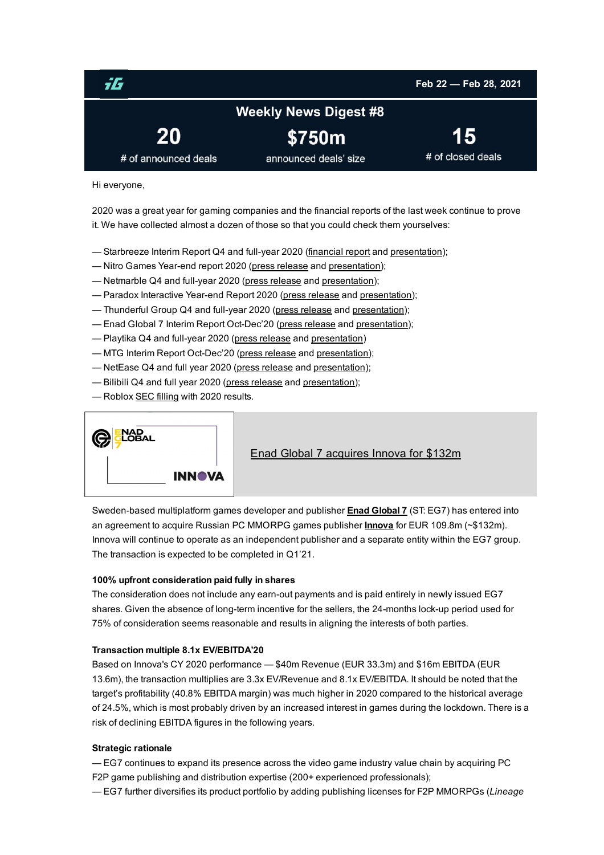<span id="page-0-0"></span>

Hi everyone,

2020 was a great year for gaming companies and the financial reports of the last week continue to prove it. We have collected almost a dozen of those so that you could check them yourselves:

- Starbreeze Interim Report Q4 and full-year 2020 ([financial](https://www.starbreeze.com/sbz-media/2021/02/Starbreeze-Interim-Report-Q4-2020.pdf) report and [presentation\)](https://www.starbreeze.com/sbz-media/2021/02/Starbreeze-Company-Presentation_Q4-2020.pdf);
- Nitro Games Year-end report 2020 (press [release](https://news.cision.com/nitro-games-oyj/r/nitro-games-oyj--year-end-report-january---december-2020,c3286155) and [presentation\)](https://evermade-nitrogames.s3.eu-central-1.amazonaws.com/wp-content/uploads/2021/02/15070014/Nitro-Games_Year-End_jan_dec_2020.pdf);
- Netmarble Q4 and full-year 2020 (press [release](https://company.netmarble.com/en/news/13123808?pageNo=1) and [presentation](https://sgimage.netmarble.com/images/netmarble/nmOfficial/20210210/ejpd1612939638166.pdf));
- Paradox Interactive Year-end Report 2020 (press [release](https://www.paradoxinteractive.com/en/year-end-report-2020/) and [presentation\)](https://www.paradoxinteractive.com/en/wp-content/uploads/sites/2/2021/02/paradoxinteractive-year-end-report-2020-210223.pdf);
- Thunderful Group Q4 and full-year 2020 (press [release](https://news.cision.com/thunderful-group/r/thunderful-group-year-end-report-2020,c3294573) and [presentation](https://thunderfulgroup.com/media/8d8d88e13a288ec/thunderful_q4_2020_eng_final.pdf));
- Enad Global 7 Interim Report Oct-Dec'20 (press [release](https://www.enadglobal7.com/press/C4BFA48E2F27D73B/) and [presentation](https://www.enadglobal7.com/wp-content/uploads/2021/02/EG7-Q4-2020-Interim-Report.pdf));
- Playtika Q4 and full-year 2020 (press [release](https://investors.playtika.com/news-releases/news-release-details/playtika-holding-corp-reports-fourth-quarter-2020-results) and [presentation\)](https://investors.playtika.com/node/6666/pdf)
- MTG Interim Report Oct-Dec'20 (press [release](https://www.mtg.com/press-releases/mtg-publishes-q4-october-december-and-full-year-2020-financial-results-report/) and [presentation](https://www.mtg.com/wp-content/uploads/2021/02/Report-file-MTG-Q4-2020-ENG.pdf));
- NetEase Q4 and full year 2020 (press [release](http://ir.netease.com/news-releases/news-release-details/netease-reports-fourth-quarter-and-fiscal-year-2020-unaudited) and [presentation](http://ir.netease.com/system/files-encrypted/nasdaq_kms/assets/2021/02/25/0-51-18/Q4 2020 Earnings Release.pdf));
- Bilibili Q4 and full year 2020 (press [release](https://ir.bilibili.com/news-releases/news-release-details/bilibili-inc-announces-2020-fourth-quarter-and-fiscal-year) and [presentation\)](https://ir.bilibili.com/static-files/39ef18bd-2906-47a2-a521-2541639434dc);
- Roblox SEC [filling](https://sec.report/Document/0001193125-21-049767/) with 2020 results.



Enad Global 7 [acquires](https://investgame.net/news/eg7-acquires-innova-for-132m) Innova for \$132m

Sweden-based multiplatform games developer and publisher Enad [Global](https://www.enadglobal7.com/) 7 (ST: EG7) has entered into an agreement to acquire Russian PC MMORPG games publisher **[Innova](https://inn.ru/)** for EUR 109.8m (~\$132m). Innova will continue to operate as an independent publisher and a separate entity within the EG7 group. The transaction is expected to be completed in Q1'21.

#### 100% upfront consideration paid fully in shares

The consideration does not include any earn-out payments and is paid entirely in newly issued EG7 shares. Given the absence of long-term incentive for the sellers, the 24-months lock-up period used for 75% of consideration seems reasonable and results in aligning the interests of both parties.

#### Transaction multiple 8.1x EV/EBITDA'20

Based on Innova's CY 2020 performance — \$40m Revenue (EUR 33.3m) and \$16m EBITDA (EUR 13.6m), the transaction multiplies are 3.3x EV/Revenue and 8.1x EV/EBITDA. It should be noted that the target's profitability (40.8% EBITDA margin) was much higher in 2020 compared to the historical average of 24.5%, which is most probably driven by an increased interest in games during the lockdown. There is a risk of declining EBITDA figures in the following years.

#### Strategic rationale

— EG7 continues to expand its presence across the video game industry value chain by acquiring PC F2P game publishing and distribution expertise (200+ experienced professionals);

— EG7 further diversifies its product portfolio by adding publishing licenses for F2P MMORPGs (*Lineage*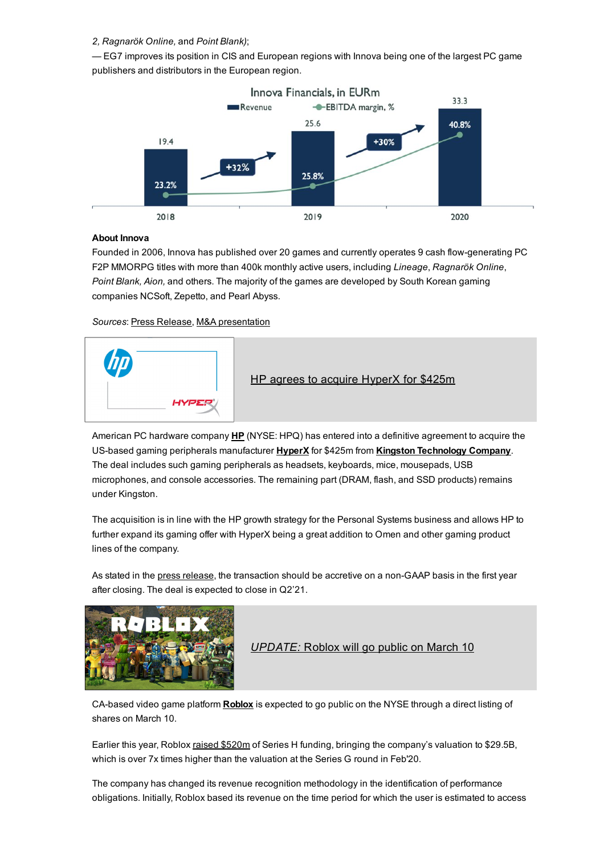## *2, Ragnarök Online,* and *Point Blank)*;

— EG7 improves its position in CIS and European regions with Innova being one of the largest PC game publishers and distributors in the European region.



## About Innova

Founded in 2006, Innova has published over 20 games and currently operates 9 cash flow-generating PC F2P MMORPG titles with more than 400k monthly active users, including *Lineage*, *Ragnarök Online*, *Point Blank, Aion,* and others. The majority of the games are developed by South Korean gaming companies NCSoft, Zepetto, and Pearl Abyss.

### *Sources*: Press [Release](https://www.enadglobal7.com/press/8871ADF55A11C046/), M&A [presentation](https://www.enadglobal7.com/wp-content/uploads/2021/02/EG7_Investor_Presentation_2021_February.pdf)



American PC hardware company [HP](http://www.hp.com/) (NYSE: HPQ) has entered into a definitive agreement to acquire the US-based gaming peripherals manufacturer [HyperX](https://www.hyperxgaming.com/) for \$425m from Kingston [Technology](https://www.kingston.com/) Company. The deal includes such gaming peripherals as headsets, keyboards, mice, mousepads, USB microphones, and console accessories. The remaining part (DRAM, flash, and SSD products) remains under Kingston.

The acquisition is in line with the HP growth strategy for the Personal Systems business and allows HP to further expand its gaming offer with HyperX being a great addition to Omen and other gaming product lines of the company.

As stated in the press [release,](https://press.hp.com/us/en/press-releases/2021/hp-inc-to-acquire-hyperx.html) the transaction should be accretive on a non-GAAP basis in the first year after closing. The deal is expected to close in Q2'21.



# *[UPDATE:](https://venturebeat.com/2021/02/22/roblox-plans-to-list-shares-on-march-10-reports-82-revenue-growth-to-923-million-for-2020/)* [Roblox](https://venturebeat.com/2021/02/22/roblox-plans-to-list-shares-on-march-10-reports-82-revenue-growth-to-923-million-for-2020/) will go public on March 10

CA-based video game platform **[Roblox](https://www.roblox.com/)** is expected to go public on the NYSE through a direct listing of shares on March 10.

Earlier this year, Roblox raised [\\$520m](https://investgame.net/news/roblox-files-for-ipo-3dk3a) of Series H funding, bringing the company's valuation to \$29.5B, which is over 7x times higher than the valuation at the Series G round in Feb'20.

The company has changed its revenue recognition methodology in the identification of performance obligations. Initially, Roblox based its revenue on the time period for which the user is estimated to access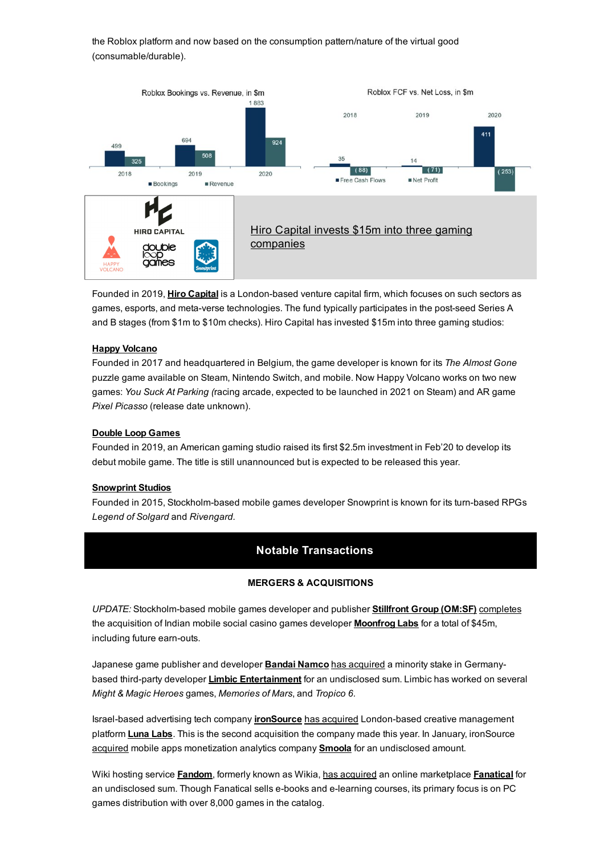the Roblox platform and now based on the consumption pattern/nature of the virtual good (consumable/durable).



Founded in 2019, Hiro [Capital](https://investgame.net/hiro-capital) is a London-based venture capital firm, which focuses on such sectors as games, esports, and meta-verse technologies. The fund typically participates in the post-seed Series A and B stages (from \$1m to \$10m checks). Hiro Capital has invested \$15m into three gaming studios:

### Happy [Volcano](https://www.happyvolcano.com/)

Founded in 2017 and headquartered in Belgium, the game developer is known for its *The Almost Gone* puzzle game available on Steam, Nintendo Switch, and mobile. Now Happy Volcano works on two new games: *You Suck At Parking (*racing arcade, expected to be launched in 2021 on Steam) and AR game *Pixel Picasso* (release date unknown).

#### Double Loop [Games](https://www.doubleloopgames.com/)

Founded in 2019, an American gaming studio raised its first \$2.5m investment in Feb'20 to develop its debut mobile game. The title is still unannounced but is expected to be released this year.

#### [Snowprint](https://www.snowprintstudios.com/games/) Studios

Founded in 2015, Stockholm-based mobile games developer Snowprint is known for its turn-based RPGs *Legend of Solgard* and *Rivengard.*

# Notable Transactions

#### MERGERS & ACQUISITIONS

UPDATE: Stockholm-based mobile games developer and publisher [Stillfront](https://www.stillfront.com/en/) Group (OM:SF) [completes](https://www.stillfront.com/en/stillfront-group-completes-the-acquisition-of-moonfrog-labs/) the acquisition of Indian mobile social casino games developer **[Moonfrog](https://moonfroglabs.com/) Labs** for a total of \$45m, including future earn-outs.

Japanese game publisher and developer **Bandai [Namco](https://en.bandainamcoent.eu/)** has [acquired](https://www.gamesindustry.biz/articles/2021-02-23-bandai-namco-take-minority-stake-in-might-and-magic-dev-limbic-entertainment) a minority stake in Germany-based third-party developer Limbic [Entertainment](https://www.limbic-entertainment.de/) for an undisclosed sum. Limbic has worked on several *Might & Magic Heroes* games, *Memories of Mars*, and *Tropico 6.*

Israel-based advertising tech company *[ironSource](https://www.ironsrc.com/)* has [acquired](http://www.prweb.com/releases/ironsource_acquires_creative_management_platform_luna_labs/prweb17682484.htm) London-based creative management platform **[Luna](https://lunalabs.io/) Labs**. This is the second acquisition the company made this year. In January, ironSource [acquired](https://www.pocketgamer.biz/news/75476/ironsource-snaps-up-ad-quality-measurement-platform-soomla/) mobile apps monetization analytics company **[Smoola](https://soomla.com/)** for an undisclosed amount.

Wiki hosting service [Fandom](https://www.fandom.com/), formerly known as Wikia, has [acquired](https://www.fanatical.com/en/blog/fanatical-now-part-of-fandom-what-you-need-to-know) an online marketplace [Fanatical](https://www.fanatical.com/en/) for an undisclosed sum. Though Fanatical sells e-books and e-learning courses, its primary focus is on PC games distribution with over 8,000 games in the catalog.